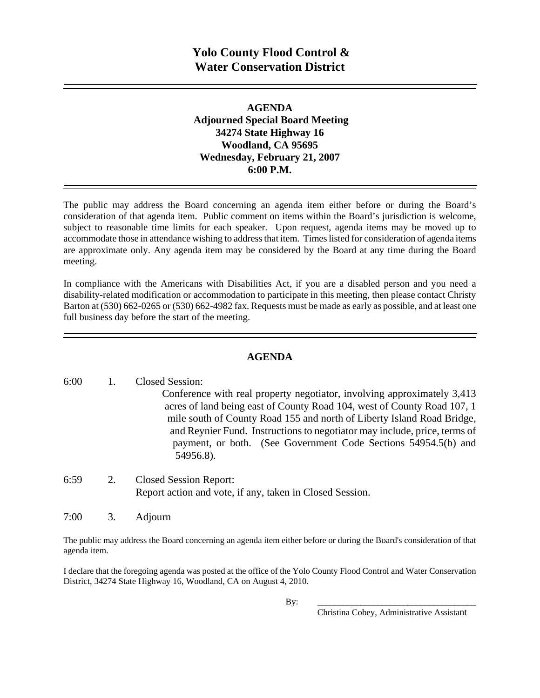## **AGENDA Adjourned Special Board Meeting 34274 State Highway 16 Woodland, CA 95695 Wednesday, February 21, 2007 6:00 P.M.**

The public may address the Board concerning an agenda item either before or during the Board's consideration of that agenda item. Public comment on items within the Board's jurisdiction is welcome, subject to reasonable time limits for each speaker. Upon request, agenda items may be moved up to accommodate those in attendance wishing to address that item. Times listed for consideration of agenda items are approximate only. Any agenda item may be considered by the Board at any time during the Board meeting.

In compliance with the Americans with Disabilities Act, if you are a disabled person and you need a disability-related modification or accommodation to participate in this meeting, then please contact Christy Barton at (530) 662-0265 or (530) 662-4982 fax. Requests must be made as early as possible, and at least one full business day before the start of the meeting.

## **AGENDA**

6:00 1. Closed Session:

 Conference with real property negotiator, involving approximately 3,413 acres of land being east of County Road 104, west of County Road 107, 1 mile south of County Road 155 and north of Liberty Island Road Bridge, and Reynier Fund. Instructions to negotiator may include, price, terms of payment, or both. (See Government Code Sections 54954.5(b) and 54956.8).

6:59 2. Closed Session Report: Report action and vote, if any, taken in Closed Session.

7:00 3. Adjourn

The public may address the Board concerning an agenda item either before or during the Board's consideration of that agenda item.

I declare that the foregoing agenda was posted at the office of the Yolo County Flood Control and Water Conservation District, 34274 State Highway 16, Woodland, CA on August 4, 2010.

Christina Cobey, Administrative Assistant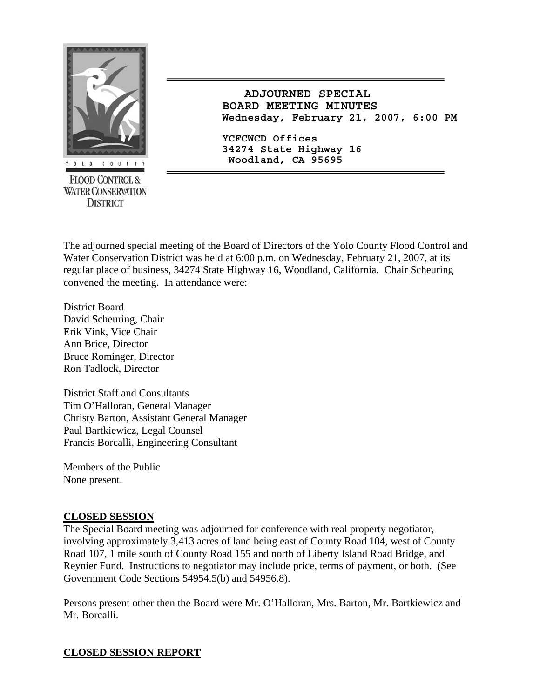

**FLOOD CONTROL & WATER CONSERVATION DISTRICT** 

 **ADJOURNED SPECIAL BOARD MEETING MINUTES Wednesday, February 21, 2007, 6:00 PM**

**YCFCWCD Offices 34274 State Highway 16 Woodland, CA 95695** 

The adjourned special meeting of the Board of Directors of the Yolo County Flood Control and Water Conservation District was held at 6:00 p.m. on Wednesday, February 21, 2007, at its regular place of business, 34274 State Highway 16, Woodland, California. Chair Scheuring convened the meeting. In attendance were:

District Board David Scheuring, Chair Erik Vink, Vice Chair Ann Brice, Director Bruce Rominger, Director Ron Tadlock, Director

District Staff and Consultants Tim O'Halloran, General Manager Christy Barton, Assistant General Manager Paul Bartkiewicz, Legal Counsel Francis Borcalli, Engineering Consultant

Members of the Public None present.

## **CLOSED SESSION**

The Special Board meeting was adjourned for conference with real property negotiator, involving approximately 3,413 acres of land being east of County Road 104, west of County Road 107, 1 mile south of County Road 155 and north of Liberty Island Road Bridge, and Reynier Fund. Instructions to negotiator may include price, terms of payment, or both. (See Government Code Sections 54954.5(b) and 54956.8).

Persons present other then the Board were Mr. O'Halloran, Mrs. Barton, Mr. Bartkiewicz and Mr. Borcalli.

## **CLOSED SESSION REPORT**